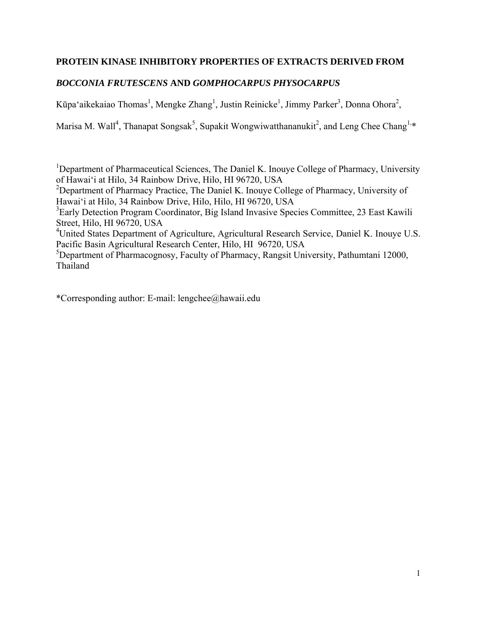## **PROTEIN KINASE INHIBITORY PROPERTIES OF EXTRACTS DERIVED FROM**

# *BOCCONIA FRUTESCENS* **AND** *GOMPHOCARPUS PHYSOCARPUS*

Kūpa'aikekaiao Thomas<sup>1</sup>, Mengke Zhang<sup>1</sup>, Justin Reinicke<sup>1</sup>, Jimmy Parker<sup>3</sup>, Donna Ohora<sup>2</sup>,

Marisa M. Wall<sup>4</sup>, Thanapat Songsak<sup>5</sup>, Supakit Wongwiwatthananukit<sup>2</sup>, and Leng Chee Chang<sup>1,\*</sup>

<sup>1</sup>Department of Pharmaceutical Sciences, The Daniel K. Inouye College of Pharmacy, University of Hawai'i at Hilo, 34 Rainbow Drive, Hilo, HI 96720, USA

<sup>2</sup>Department of Pharmacy Practice, The Daniel K. Inouye College of Pharmacy, University of Hawai'i at Hilo, 34 Rainbow Drive, Hilo, Hilo, HI 96720, USA

<sup>3</sup>Early Detection Program Coordinator, Big Island Invasive Species Committee, 23 East Kawili Street, Hilo, HI 96720, USA

<sup>4</sup>United States Department of Agriculture, Agricultural Research Service, Daniel K. Inouye U.S. Pacific Basin Agricultural Research Center, Hilo, HI 96720, USA

5 Department of Pharmacognosy, Faculty of Pharmacy, Rangsit University, Pathumtani 12000, Thailand

\*Corresponding author: E-mail: lengchee@hawaii.edu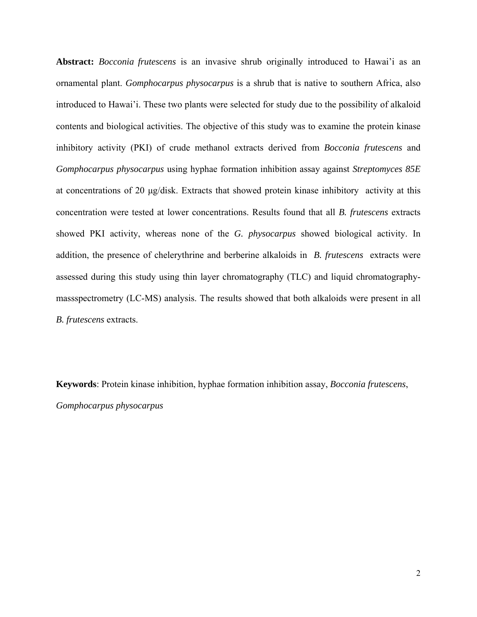**Abstract:** *Bocconia frutescens* is an invasive shrub originally introduced to Hawai'i as an ornamental plant. *Gomphocarpus physocarpus* is a shrub that is native to southern Africa, also introduced to Hawai'i. These two plants were selected for study due to the possibility of alkaloid contents and biological activities. The objective of this study was to examine the protein kinase inhibitory activity (PKI) of crude methanol extracts derived from *Bocconia frutescens* and *Gomphocarpus physocarpus* using hyphae formation inhibition assay against *Streptomyces 85E* at concentrations of 20 μg/disk. Extracts that showed protein kinase inhibitory activity at this concentration were tested at lower concentrations. Results found that all *B. frutescens* extracts showed PKI activity, whereas none of the *G. physocarpus* showed biological activity. In addition, the presence of chelerythrine and berberine alkaloids in *B. frutescens* extracts were assessed during this study using thin layer chromatography (TLC) and liquid chromatographymassspectrometry (LC-MS) analysis. The results showed that both alkaloids were present in all *B. frutescens* extracts.

**Keywords**: Protein kinase inhibition, hyphae formation inhibition assay, *Bocconia frutescens*, *Gomphocarpus physocarpus*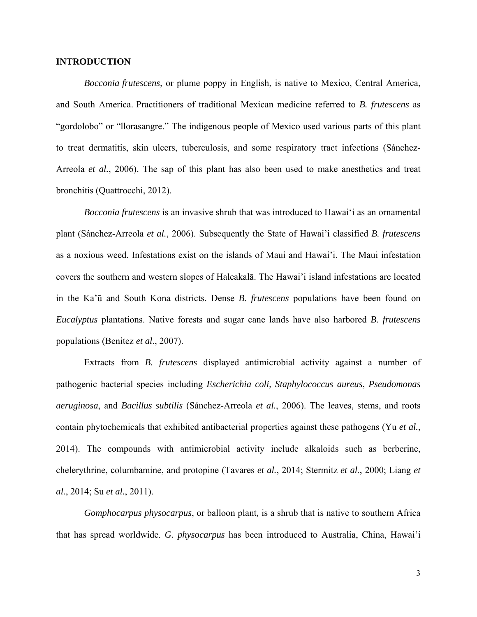#### **INTRODUCTION**

*Bocconia frutescens*, or plume poppy in English, is native to Mexico, Central America, and South America. Practitioners of traditional Mexican medicine referred to *B. frutescens* as "gordolobo" or "llorasangre." The indigenous people of Mexico used various parts of this plant to treat dermatitis, skin ulcers, tuberculosis, and some respiratory tract infections (Sánchez-Arreola *et al.*, 2006). The sap of this plant has also been used to make anesthetics and treat bronchitis (Quattrocchi, 2012).

*Bocconia frutescens* is an invasive shrub that was introduced to Hawai'i as an ornamental plant (Sánchez-Arreola *et al.*, 2006). Subsequently the State of Hawai'i classified *B. frutescens* as a noxious weed. Infestations exist on the islands of Maui and Hawai'i. The Maui infestation covers the southern and western slopes of Haleakalā. The Hawai'i island infestations are located in the Ka'ū and South Kona districts. Dense *B. frutescens* populations have been found on *Eucalyptus* plantations. Native forests and sugar cane lands have also harbored *B. frutescens*  populations (Benitez *et al*., 2007).

Extracts from *B. frutescens* displayed antimicrobial activity against a number of pathogenic bacterial species including *Escherichia coli*, *Staphylococcus aureus*, *Pseudomonas aeruginosa*, and *Bacillus subtilis* (Sánchez-Arreola *et al.*, 2006). The leaves, stems, and roots contain phytochemicals that exhibited antibacterial properties against these pathogens (Yu *et al.*, 2014). The compounds with antimicrobial activity include alkaloids such as berberine, chelerythrine, columbamine, and protopine (Tavares *et al.*, 2014; Stermitz *et al.*, 2000; Liang *et al.*, 2014; Su *et al.*, 2011).

*Gomphocarpus physocarpus*, or balloon plant*,* is a shrub that is native to southern Africa that has spread worldwide. *G. physocarpus* has been introduced to Australia, China, Hawai'i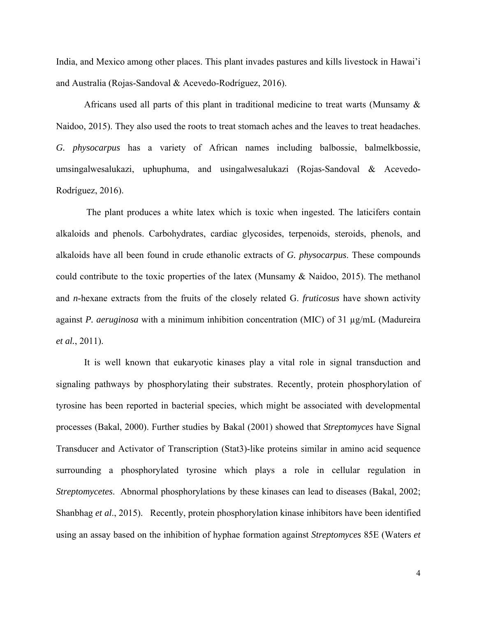India, and Mexico among other places. This plant invades pastures and kills livestock in Hawai'i and Australia (Rojas-Sandoval & Acevedo-Rodríguez, 2016).

Africans used all parts of this plant in traditional medicine to treat warts (Munsamy  $\&$ Naidoo, 2015). They also used the roots to treat stomach aches and the leaves to treat headaches. *G. physocarpus* has a variety of African names including balbossie, balmelkbossie, umsingalwesalukazi, uphuphuma, and usingalwesalukazi (Rojas-Sandoval & Acevedo-Rodríguez, 2016).

 The plant produces a white latex which is toxic when ingested. The laticifers contain alkaloids and phenols. Carbohydrates, cardiac glycosides, terpenoids, steroids, phenols, and alkaloids have all been found in crude ethanolic extracts of *G. physocarpus*. These compounds could contribute to the toxic properties of the latex (Munsamy & Naidoo, 2015). The methanol and *n*-hexane extracts from the fruits of the closely related G. *fruticosus* have shown activity against *P. aeruginosa* with a minimum inhibition concentration (MIC) of 31 µg/mL (Madureira *et al.*, 2011).

It is well known that eukaryotic kinases play a vital role in signal transduction and signaling pathways by phosphorylating their substrates. Recently, protein phosphorylation of tyrosine has been reported in bacterial species, which might be associated with developmental processes (Bakal, 2000). Further studies by Bakal (2001) showed that *Streptomyces* have Signal Transducer and Activator of Transcription (Stat3)-like proteins similar in amino acid sequence surrounding a phosphorylated tyrosine which plays a role in cellular regulation in *Streptomycetes*. Abnormal phosphorylations by these kinases can lead to diseases (Bakal, 2002; Shanbhag *et al*., 2015). Recently, protein phosphorylation kinase inhibitors have been identified using an assay based on the inhibition of hyphae formation against *Streptomyces* 85E (Waters *et*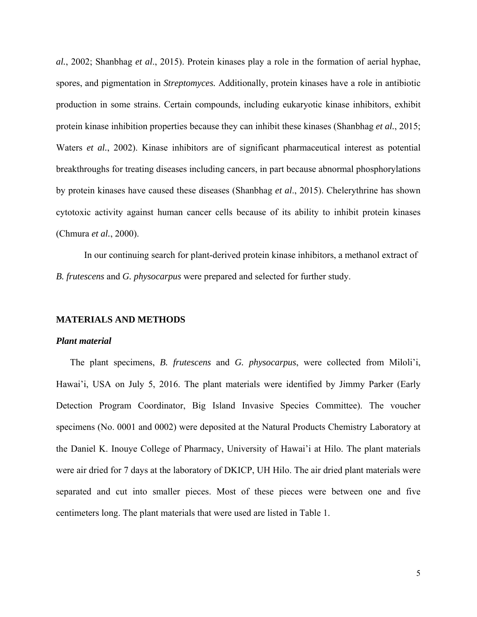*al.*, 2002; Shanbhag *et al*., 2015). Protein kinases play a role in the formation of aerial hyphae, spores, and pigmentation in *Streptomyces.* Additionally, protein kinases have a role in antibiotic production in some strains. Certain compounds, including eukaryotic kinase inhibitors, exhibit protein kinase inhibition properties because they can inhibit these kinases (Shanbhag *et al.*, 2015; Waters *et al.*, 2002). Kinase inhibitors are of significant pharmaceutical interest as potential breakthroughs for treating diseases including cancers, in part because abnormal phosphorylations by protein kinases have caused these diseases (Shanbhag *et al*., 2015). Chelerythrine has shown cytotoxic activity against human cancer cells because of its ability to inhibit protein kinases (Chmura *et al.*, 2000).

In our continuing search for plant-derived protein kinase inhibitors, a methanol extract of *B. frutescens* and *G. physocarpus* were prepared and selected for further study.

#### **MATERIALS AND METHODS**

#### *Plant material*

The plant specimens, *B. frutescens* and *G. physocarpus*, were collected from Miloli'i, Hawai'i, USA on July 5, 2016. The plant materials were identified by Jimmy Parker (Early Detection Program Coordinator, Big Island Invasive Species Committee). The voucher specimens (No. 0001 and 0002) were deposited at the Natural Products Chemistry Laboratory at the Daniel K. Inouye College of Pharmacy, University of Hawai'i at Hilo. The plant materials were air dried for 7 days at the laboratory of DKICP, UH Hilo. The air dried plant materials were separated and cut into smaller pieces. Most of these pieces were between one and five centimeters long. The plant materials that were used are listed in Table 1.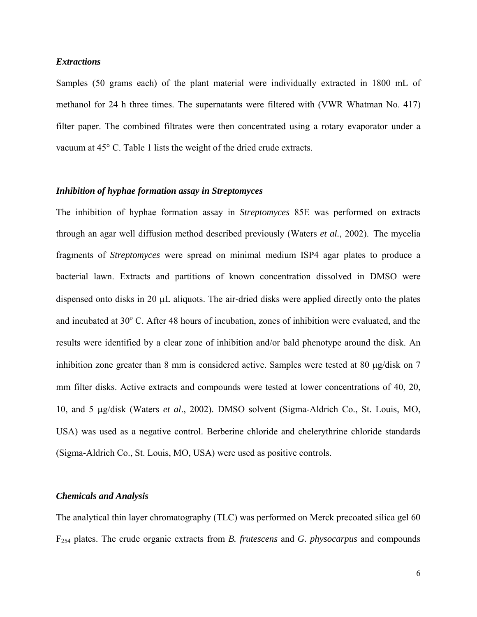#### *Extractions*

Samples (50 grams each) of the plant material were individually extracted in 1800 mL of methanol for 24 h three times. The supernatants were filtered with (VWR Whatman No. 417) filter paper. The combined filtrates were then concentrated using a rotary evaporator under a vacuum at 45° C. Table 1 lists the weight of the dried crude extracts.

### *Inhibition of hyphae formation assay in Streptomyces*

The inhibition of hyphae formation assay in *Streptomyces* 85E was performed on extracts through an agar well diffusion method described previously (Waters *et al.*, 2002). The mycelia fragments of *Streptomyces* were spread on minimal medium ISP4 agar plates to produce a bacterial lawn. Extracts and partitions of known concentration dissolved in DMSO were dispensed onto disks in 20  $\mu$ L aliquots. The air-dried disks were applied directly onto the plates and incubated at 30° C. After 48 hours of incubation, zones of inhibition were evaluated, and the results were identified by a clear zone of inhibition and/or bald phenotype around the disk. An inhibition zone greater than 8 mm is considered active. Samples were tested at 80  $\mu$ g/disk on 7 mm filter disks. Active extracts and compounds were tested at lower concentrations of 40, 20, 10, and 5 g/disk (Waters *et al*., 2002). DMSO solvent (Sigma-Aldrich Co., St. Louis, MO, USA) was used as a negative control. Berberine chloride and chelerythrine chloride standards (Sigma-Aldrich Co., St. Louis, MO, USA) were used as positive controls.

#### *Chemicals and Analysis*

The analytical thin layer chromatography (TLC) was performed on Merck precoated silica gel 60 F254 plates. The crude organic extracts from *B. frutescens* and *G. physocarpus* and compounds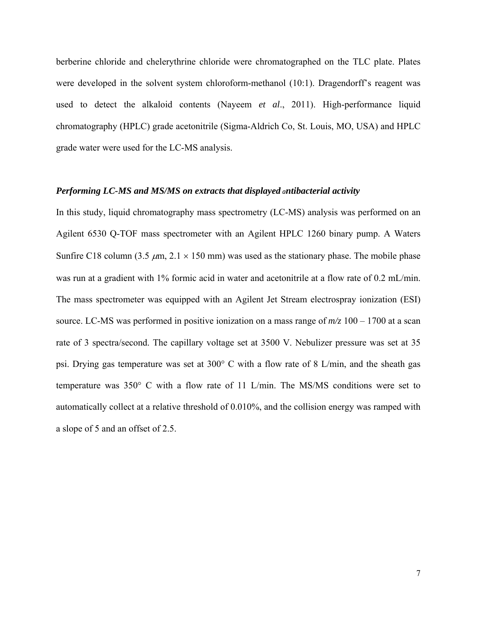berberine chloride and chelerythrine chloride were chromatographed on the TLC plate. Plates were developed in the solvent system chloroform-methanol (10:1). Dragendorff's reagent was used to detect the alkaloid contents (Nayeem *et al*., 2011). High-performance liquid chromatography (HPLC) grade acetonitrile (Sigma-Aldrich Co, St. Louis, MO, USA) and HPLC grade water were used for the LC-MS analysis.

### *Performing LC-MS and MS/MS on extracts that displayed antibacterial activity*

In this study, liquid chromatography mass spectrometry (LC-MS) analysis was performed on an Agilent 6530 Q-TOF mass spectrometer with an Agilent HPLC 1260 binary pump. A Waters Sunfire C18 column (3.5  $\mu$ m, 2.1  $\times$  150 mm) was used as the stationary phase. The mobile phase was run at a gradient with 1% formic acid in water and acetonitrile at a flow rate of 0.2 mL/min. The mass spectrometer was equipped with an Agilent Jet Stream electrospray ionization (ESI) source. LC-MS was performed in positive ionization on a mass range of *m/z* 100 – 1700 at a scan rate of 3 spectra/second. The capillary voltage set at 3500 V. Nebulizer pressure was set at 35 psi. Drying gas temperature was set at 300° C with a flow rate of 8 L/min, and the sheath gas temperature was 350° C with a flow rate of 11 L/min. The MS/MS conditions were set to automatically collect at a relative threshold of 0.010%, and the collision energy was ramped with a slope of 5 and an offset of 2.5.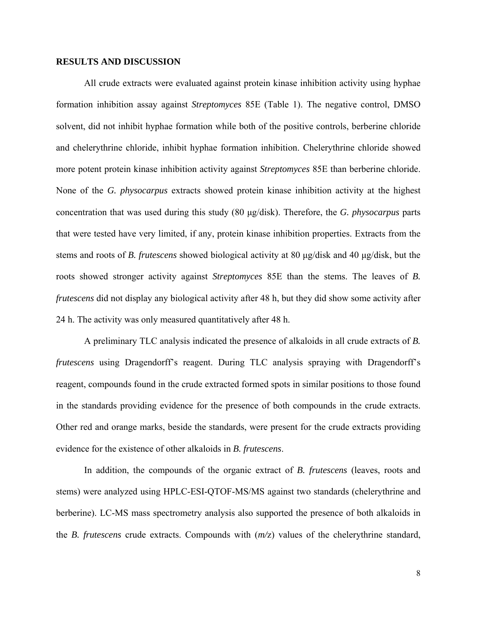#### **RESULTS AND DISCUSSION**

All crude extracts were evaluated against protein kinase inhibition activity using hyphae formation inhibition assay against *Streptomyces* 85E (Table 1). The negative control, DMSO solvent, did not inhibit hyphae formation while both of the positive controls, berberine chloride and chelerythrine chloride, inhibit hyphae formation inhibition. Chelerythrine chloride showed more potent protein kinase inhibition activity against *Streptomyces* 85E than berberine chloride. None of the *G. physocarpus* extracts showed protein kinase inhibition activity at the highest concentration that was used during this study (80 μg/disk). Therefore, the *G. physocarpus* parts that were tested have very limited, if any, protein kinase inhibition properties. Extracts from the stems and roots of *B. frutescens* showed biological activity at 80 μg/disk and 40 μg/disk, but the roots showed stronger activity against *Streptomyces* 85E than the stems. The leaves of *B. frutescens* did not display any biological activity after 48 h, but they did show some activity after 24 h. The activity was only measured quantitatively after 48 h.

A preliminary TLC analysis indicated the presence of alkaloids in all crude extracts of *B. frutescens* using Dragendorff's reagent. During TLC analysis spraying with Dragendorff's reagent, compounds found in the crude extracted formed spots in similar positions to those found in the standards providing evidence for the presence of both compounds in the crude extracts. Other red and orange marks, beside the standards, were present for the crude extracts providing evidence for the existence of other alkaloids in *B. frutescens*.

In addition, the compounds of the organic extract of *B. frutescens* (leaves, roots and stems) were analyzed using HPLC-ESI-QTOF-MS/MS against two standards (chelerythrine and berberine). LC-MS mass spectrometry analysis also supported the presence of both alkaloids in the *B. frutescens* crude extracts. Compounds with (*m/*z) values of the chelerythrine standard,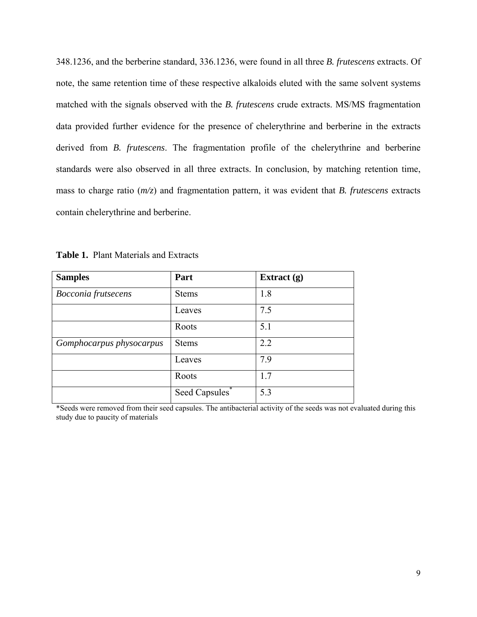348.1236, and the berberine standard, 336.1236, were found in all three *B. frutescens* extracts. Of note, the same retention time of these respective alkaloids eluted with the same solvent systems matched with the signals observed with the *B. frutescens* crude extracts. MS/MS fragmentation data provided further evidence for the presence of chelerythrine and berberine in the extracts derived from *B. frutescens*. The fragmentation profile of the chelerythrine and berberine standards were also observed in all three extracts. In conclusion, by matching retention time, mass to charge ratio (*m/z*) and fragmentation pattern, it was evident that *B. frutescens* extracts contain chelerythrine and berberine.

|  | <b>Table 1. Plant Materials and Extracts</b> |  |
|--|----------------------------------------------|--|
|--|----------------------------------------------|--|

| <b>Samples</b>             | Part                       | Extract $(g)$ |
|----------------------------|----------------------------|---------------|
| <b>Bocconia</b> frutsecens | <b>Stems</b>               | 1.8           |
|                            | Leaves                     | 7.5           |
|                            | Roots                      | 5.1           |
| Gomphocarpus physocarpus   | <b>Stems</b>               | 2.2           |
|                            | Leaves                     | 7.9           |
|                            | Roots                      | 1.7           |
|                            | Seed Capsules <sup>*</sup> | 5.3           |

\*Seeds were removed from their seed capsules. The antibacterial activity of the seeds was not evaluated during this study due to paucity of materials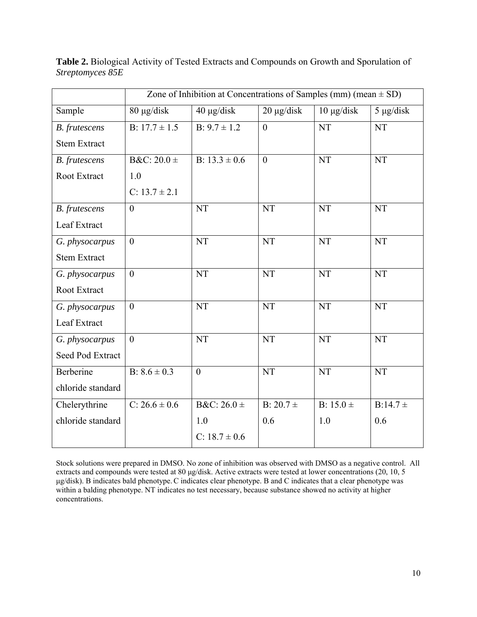|                      | Zone of Inhibition at Concentrations of Samples (mm) (mean $\pm$ SD) |                   |                        |                 |                |
|----------------------|----------------------------------------------------------------------|-------------------|------------------------|-----------------|----------------|
| Sample               | 80 µg/disk                                                           | 40 μg/disk        | $20 \mu g/disk$        | $10 \mu g/disk$ | $5 \mu g/disk$ |
| <b>B.</b> frutescens | B: $17.7 \pm 1.5$                                                    | $B: 9.7 \pm 1.2$  | $\mathbf{0}$           | <b>NT</b>       | <b>NT</b>      |
| <b>Stem Extract</b>  |                                                                      |                   |                        |                 |                |
| <b>B.</b> frutescens | B&C: $20.0 \pm$                                                      | B: $13.3 \pm 0.6$ | $\theta$               | <b>NT</b>       | <b>NT</b>      |
| Root Extract         | 1.0                                                                  |                   |                        |                 |                |
|                      | C: $13.7 \pm 2.1$                                                    |                   |                        |                 |                |
| <b>B.</b> frutescens | $\overline{0}$                                                       | <b>NT</b>         | NT                     | <b>NT</b>       | NT             |
| Leaf Extract         |                                                                      |                   |                        |                 |                |
| G. physocarpus       | $\overline{0}$                                                       | <b>NT</b>         | <b>NT</b>              | <b>NT</b>       | <b>NT</b>      |
| <b>Stem Extract</b>  |                                                                      |                   |                        |                 |                |
| G. physocarpus       | $\boldsymbol{0}$                                                     | <b>NT</b>         | <b>NT</b>              | <b>NT</b>       | <b>NT</b>      |
| Root Extract         |                                                                      |                   |                        |                 |                |
| G. physocarpus       | $\overline{0}$                                                       | <b>NT</b>         | $\overline{\text{NT}}$ | <b>NT</b>       | <b>NT</b>      |
| Leaf Extract         |                                                                      |                   |                        |                 |                |
| G. physocarpus       | $\overline{0}$                                                       | <b>NT</b>         | <b>NT</b>              | <b>NT</b>       | <b>NT</b>      |
| Seed Pod Extract     |                                                                      |                   |                        |                 |                |
| Berberine            | B: $8.6 \pm 0.3$                                                     | $\mathbf{0}$      | NT                     | <b>NT</b>       | NT             |
| chloride standard    |                                                                      |                   |                        |                 |                |
| Chelerythrine        | $C: 26.6 \pm 0.6$                                                    | $B&C: 26.0 \pm$   | $B: 20.7 \pm$          | B: $15.0 \pm$   | $B:14.7 \pm$   |
| chloride standard    |                                                                      | 1.0               | 0.6                    | 1.0             | 0.6            |
|                      |                                                                      | C: $18.7 \pm 0.6$ |                        |                 |                |

**Table 2.** Biological Activity of Tested Extracts and Compounds on Growth and Sporulation of *Streptomyces 85E* 

Stock solutions were prepared in DMSO. No zone of inhibition was observed with DMSO as a negative control. All extracts and compounds were tested at 80 μg/disk. Active extracts were tested at lower concentrations (20, 10, 5 μg/disk). B indicates bald phenotype.C indicates clear phenotype. B and C indicates that a clear phenotype was within a balding phenotype. NT indicates no test necessary, because substance showed no activity at higher concentrations.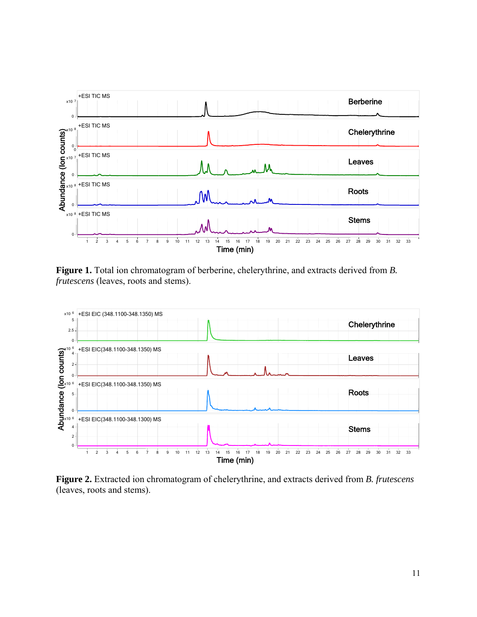

**Figure 1.** Total ion chromatogram of berberine, chelerythrine, and extracts derived from *B. frutescens* (leaves, roots and stems).



**Figure 2.** Extracted ion chromatogram of chelerythrine, and extracts derived from *B. frutescens* (leaves, roots and stems).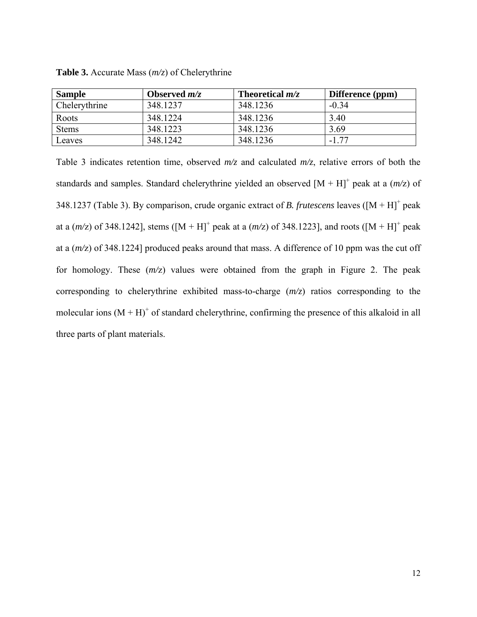| <b>Sample</b> | Observed $m/z$ | Theoretical $m/z$ | Difference (ppm) |
|---------------|----------------|-------------------|------------------|
| Chelerythrine | 348.1237       | 348.1236          | $-0.34$          |
| Roots         | 348.1224       | 348.1236          | 3.40             |
| <b>Stems</b>  | 348.1223       | 348.1236          | 3.69             |
| Leaves        | 348.1242       | 348.1236          | $-1.77$          |

**Table 3.** Accurate Mass (*m/z*) of Chelerythrine

Table 3 indicates retention time, observed *m/z* and calculated *m/z*, relative errors of both the standards and samples. Standard chelerythrine yielded an observed  $[M + H]$ <sup>+</sup> peak at a  $(m/z)$  of 348.1237 (Table 3). By comparison, crude organic extract of *B. frutescens* leaves ( $[M + H]$ <sup>+</sup> peak at a  $(m/z)$  of 348.1242], stems  $([M + H]^+$  peak at a  $(m/z)$  of 348.1223], and roots  $([M + H]^+$  peak at a (*m/*z) of 348.1224] produced peaks around that mass. A difference of 10 ppm was the cut off for homology. These (*m/*z) values were obtained from the graph in Figure 2. The peak corresponding to chelerythrine exhibited mass-to-charge (*m/z*) ratios corresponding to the molecular ions  $(M + H)^+$  of standard chelerythrine, confirming the presence of this alkaloid in all three parts of plant materials.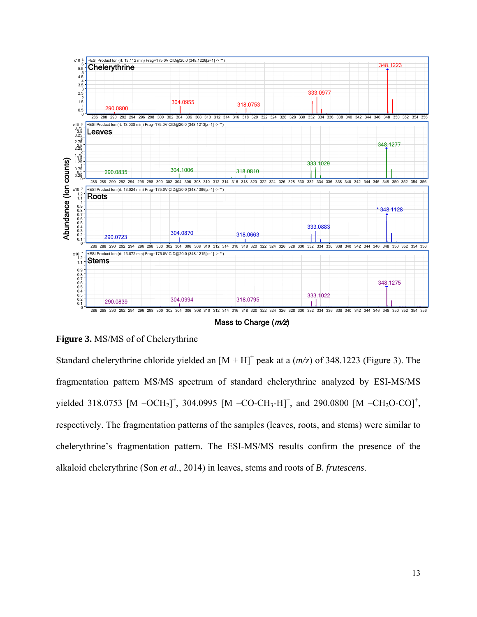

Mass to Charge  $(m/z)$ 

## **Figure 3.** MS/MS of of Chelerythrine

Standard chelerythrine chloride yielded an  $[M + H]$ <sup>+</sup> peak at a  $(m/z)$  of 348.1223 (Figure 3). The fragmentation pattern MS/MS spectrum of standard chelerythrine analyzed by ESI-MS/MS yielded 318.0753 [M  $-OCH<sub>2</sub>$ ]<sup>+</sup>, 304.0995 [M  $-CO-CH<sub>3</sub>$ -H]<sup>+</sup>, and 290.0800 [M  $-CH<sub>2</sub>O-CO$ ]<sup>+</sup>, respectively. The fragmentation patterns of the samples (leaves, roots, and stems) were similar to chelerythrine's fragmentation pattern. The ESI-MS/MS results confirm the presence of the alkaloid chelerythrine (Son *et al*., 2014) in leaves, stems and roots of *B. frutescens*.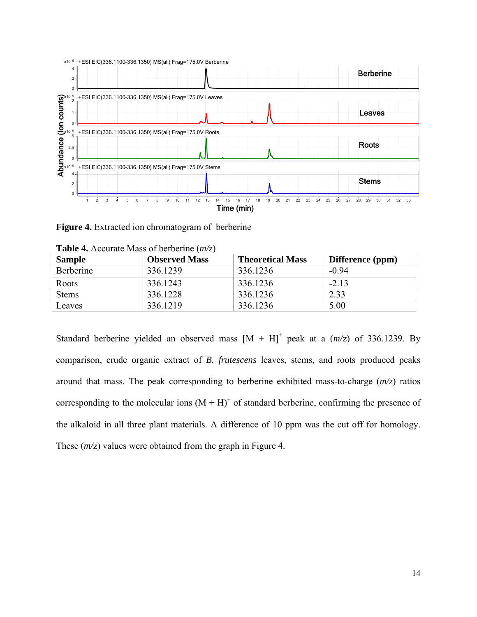

**Figure 4.** Extracted ion chromatogram of berberine

| <b>THERE</b> TO A LOCATURE THUSS OF OCTOCITING ( <i>IIIV</i> 2. <i>I</i> |                      |                         |                  |  |
|--------------------------------------------------------------------------|----------------------|-------------------------|------------------|--|
| <b>Sample</b>                                                            | <b>Observed Mass</b> | <b>Theoretical Mass</b> | Difference (ppm) |  |
| Berberine                                                                | 336.1239             | 336.1236                | $-0.94$          |  |
| Roots                                                                    | 336.1243             | 336.1236                | $-2.13$          |  |
| <b>Stems</b>                                                             | 336.1228             | 336.1236                | 2.33             |  |
| Leaves                                                                   | 336.1219             | 336.1236                | 5.00             |  |

| <b>Table 4.</b> Accurate Mass of berberine $(m/z)$ |  |  |  |
|----------------------------------------------------|--|--|--|
|----------------------------------------------------|--|--|--|

Standard berberine yielded an observed mass  $[M + H]^{+}$  peak at a  $(m/z)$  of 336.1239. By comparison, crude organic extract of *B. frutescens* leaves, stems, and roots produced peaks around that mass. The peak corresponding to berberine exhibited mass-to-charge (*m/z*) ratios corresponding to the molecular ions  $(M + H)^+$  of standard berberine, confirming the presence of the alkaloid in all three plant materials. A difference of 10 ppm was the cut off for homology. These ( $m/z$ ) values were obtained from the graph in Figure 4.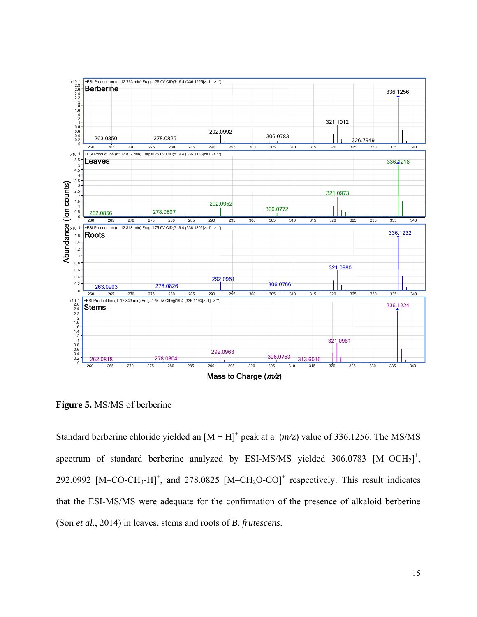

**Figure 5.** MS/MS of berberine

Standard berberine chloride yielded an  $[M + H]$ <sup>+</sup> peak at a  $(m/z)$  value of 336.1256. The MS/MS spectrum of standard berberine analyzed by ESI-MS/MS yielded  $306.0783$  [M-OCH<sub>2</sub>]<sup>+</sup>, 292.0992  $[M-CO-CH<sub>3</sub>-H]<sup>+</sup>$ , and 278.0825  $[M-CH<sub>2</sub>O-CO]<sup>+</sup>$  respectively. This result indicates that the ESI-MS/MS were adequate for the confirmation of the presence of alkaloid berberine (Son *et al*., 2014) in leaves, stems and roots of *B. frutescens*.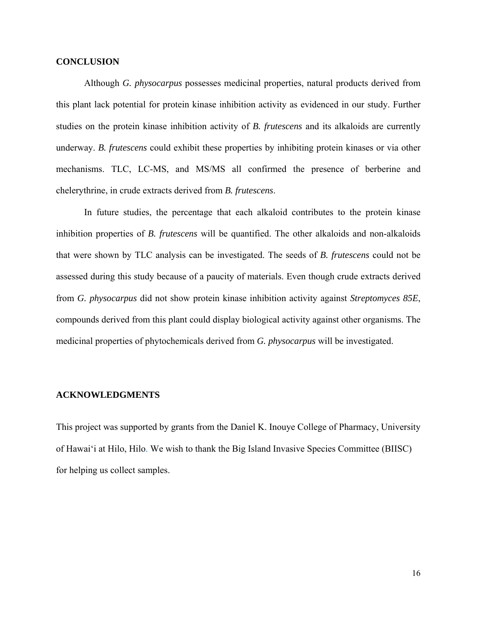#### **CONCLUSION**

Although *G. physocarpus* possesses medicinal properties, natural products derived from this plant lack potential for protein kinase inhibition activity as evidenced in our study. Further studies on the protein kinase inhibition activity of *B. frutescens* and its alkaloids are currently underway. *B. frutescens* could exhibit these properties by inhibiting protein kinases or via other mechanisms. TLC, LC-MS, and MS/MS all confirmed the presence of berberine and chelerythrine, in crude extracts derived from *B. frutescens*.

In future studies, the percentage that each alkaloid contributes to the protein kinase inhibition properties of *B. frutescens* will be quantified. The other alkaloids and non-alkaloids that were shown by TLC analysis can be investigated. The seeds of *B. frutescens* could not be assessed during this study because of a paucity of materials. Even though crude extracts derived from *G. physocarpus* did not show protein kinase inhibition activity against *Streptomyces 85E*, compounds derived from this plant could display biological activity against other organisms. The medicinal properties of phytochemicals derived from *G. physocarpus* will be investigated.

#### **ACKNOWLEDGMENTS**

This project was supported by grants from the Daniel K. Inouye College of Pharmacy, University of Hawai'i at Hilo, Hilo. We wish to thank the Big Island Invasive Species Committee (BIISC) for helping us collect samples.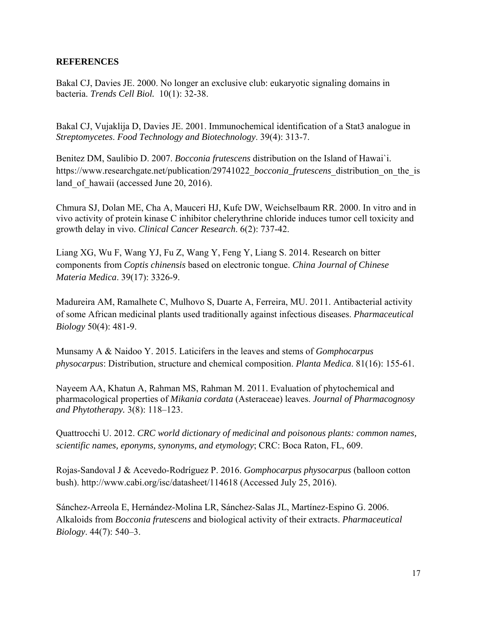## **REFERENCES**

Bakal CJ, Davies JE. 2000. No longer an exclusive club: eukaryotic signaling domains in bacteria. *Trends Cell Biol.* 10(1): 32-38.

Bakal CJ, Vujaklija D, Davies JE. 2001. Immunochemical identification of a Stat3 analogue in *Streptomycetes*. *Food Technology and Biotechnology*. 39(4): 313-7.

Benitez DM, Saulibio D. 2007. *Bocconia frutescens* distribution on the Island of Hawai`i. https://www.researchgate.net/publication/29741022 *bocconia\_frutescens* distribution on the is land of hawaii (accessed June 20, 2016).

Chmura SJ, Dolan ME, Cha A, Mauceri HJ, Kufe DW, Weichselbaum RR. 2000. In vitro and in vivo activity of protein kinase C inhibitor chelerythrine chloride induces tumor cell toxicity and growth delay in vivo. *Clinical Cancer Research*. 6(2): 737-42.

Liang XG, Wu F, Wang YJ, Fu Z, Wang Y, Feng Y, Liang S. 2014. Research on bitter components from *Coptis chinensis* based on electronic tongue. *China Journal of Chinese Materia Medica*. 39(17): 3326-9.

Madureira AM, Ramalhete C, Mulhovo S, Duarte A, Ferreira, MU. 2011. Antibacterial activity of some African medicinal plants used traditionally against infectious diseases. *Pharmaceutical Biology* 50(4): 481-9.

Munsamy A & Naidoo Y. 2015. Laticifers in the leaves and stems of *Gomphocarpus physocarpus*: Distribution, structure and chemical composition. *Planta Medica*. 81(16): 155-61.

Nayeem AA, Khatun A, Rahman MS, Rahman M. 2011. Evaluation of phytochemical and pharmacological properties of *Mikania cordata* (Asteraceae) leaves. *Journal of Pharmacognosy and Phytotherapy.* 3(8): 118–123.

Quattrocchi U. 2012. *CRC world dictionary of medicinal and poisonous plants: common names, scientific names, eponyms, synonyms, and etymology*; CRC: Boca Raton, FL, 609.

Rojas-Sandoval J & Acevedo-Rodríguez P. 2016. *Gomphocarpus physocarpus* (balloon cotton bush). http://www.cabi.org/isc/datasheet/114618 (Accessed July 25, 2016).

Sánchez-Arreola E, Hernández-Molina LR, Sánchez-Salas JL, Martínez-Espino G. 2006. Alkaloids from *Bocconia frutescens* and biological activity of their extracts. *Pharmaceutical Biology*. 44(7): 540–3.